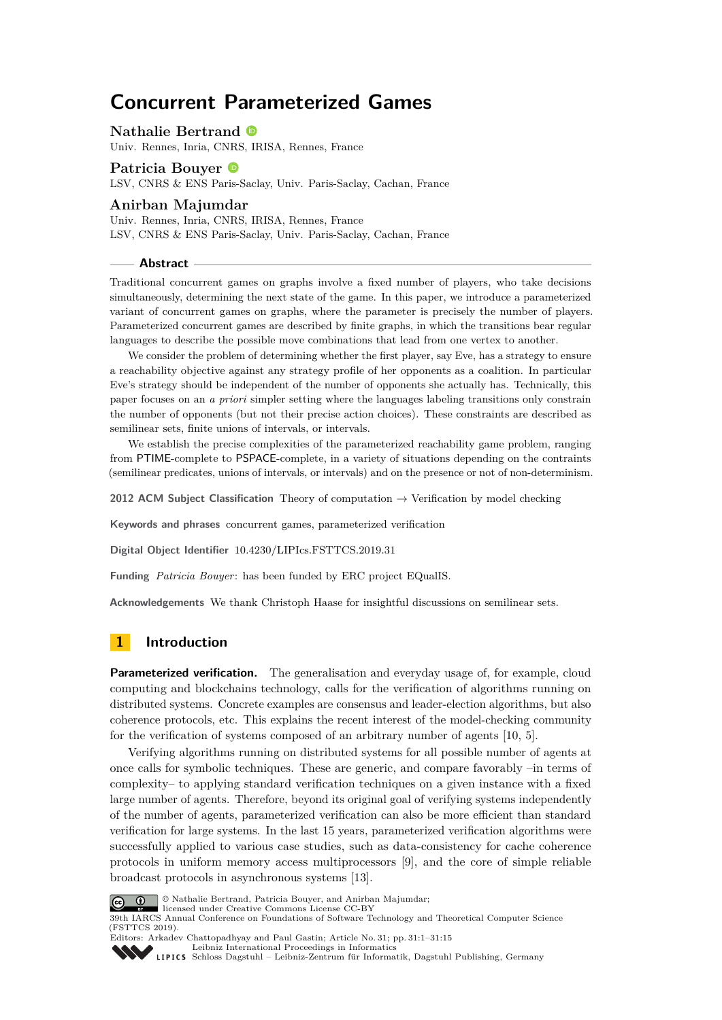# **Concurrent Parameterized Games**

#### **Nathalie Bertrand**

Univ. Rennes, Inria, CNRS, IRISA, Rennes, France

# **Patricia Bouyer** LSV, CNRS & ENS Paris-Saclay, Univ. Paris-Saclay, Cachan, France

## **Anirban Majumdar**

Univ. Rennes, Inria, CNRS, IRISA, Rennes, France LSV, CNRS & ENS Paris-Saclay, Univ. Paris-Saclay, Cachan, France

#### **Abstract**

Traditional concurrent games on graphs involve a fixed number of players, who take decisions simultaneously, determining the next state of the game. In this paper, we introduce a parameterized variant of concurrent games on graphs, where the parameter is precisely the number of players. Parameterized concurrent games are described by finite graphs, in which the transitions bear regular languages to describe the possible move combinations that lead from one vertex to another.

We consider the problem of determining whether the first player, say Eve, has a strategy to ensure a reachability objective against any strategy profile of her opponents as a coalition. In particular Eve's strategy should be independent of the number of opponents she actually has. Technically, this paper focuses on an *a priori* simpler setting where the languages labeling transitions only constrain the number of opponents (but not their precise action choices). These constraints are described as semilinear sets, finite unions of intervals, or intervals.

We establish the precise complexities of the parameterized reachability game problem, ranging from PTIME-complete to PSPACE-complete, in a variety of situations depending on the contraints (semilinear predicates, unions of intervals, or intervals) and on the presence or not of non-determinism.

**2012 ACM Subject Classification** Theory of computation → Verification by model checking

**Keywords and phrases** concurrent games, parameterized verification

**Digital Object Identifier** [10.4230/LIPIcs.FSTTCS.2019.31](https://doi.org/10.4230/LIPIcs.FSTTCS.2019.31)

**Funding** *Patricia Bouyer*: has been funded by ERC project EQualIS.

**Acknowledgements** We thank Christoph Haase for insightful discussions on semilinear sets.

# **1 Introduction**

**Parameterized verification.** The generalisation and everyday usage of, for example, cloud computing and blockchains technology, calls for the verification of algorithms running on distributed systems. Concrete examples are consensus and leader-election algorithms, but also coherence protocols, etc. This explains the recent interest of the model-checking community for the verification of systems composed of an arbitrary number of agents [\[10,](#page-13-0) [5\]](#page-13-1).

Verifying algorithms running on distributed systems for all possible number of agents at once calls for symbolic techniques. These are generic, and compare favorably –in terms of complexity– to applying standard verification techniques on a given instance with a fixed large number of agents. Therefore, beyond its original goal of verifying systems independently of the number of agents, parameterized verification can also be more efficient than standard verification for large systems. In the last 15 years, parameterized verification algorithms were successfully applied to various case studies, such as data-consistency for cache coherence protocols in uniform memory access multiprocessors [\[9\]](#page-13-2), and the core of simple reliable broadcast protocols in asynchronous systems [\[13\]](#page-13-3).



© Nathalie Bertrand, Patricia Bouyer, and Anirban Majumdar;

licensed under Creative Commons License CC-BY 39th IARCS Annual Conference on Foundations of Software Technology and Theoretical Computer Science (FSTTCS 2019).



Editors: Arkadev Chattopadhyay and Paul Gastin; Article No. 31; pp. 31:1–31[:15](#page-14-0) [Leibniz International Proceedings in Informatics](https://www.dagstuhl.de/lipics/)

[Schloss Dagstuhl – Leibniz-Zentrum für Informatik, Dagstuhl Publishing, Germany](https://www.dagstuhl.de)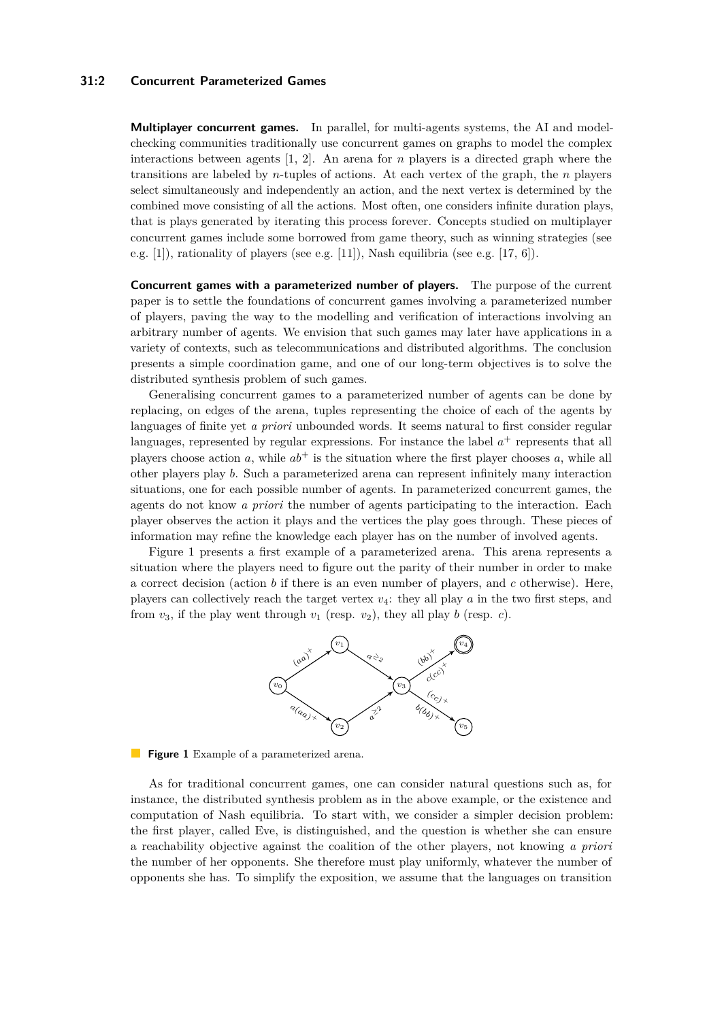### **31:2 Concurrent Parameterized Games**

**Multiplayer concurrent games.** In parallel, for multi-agents systems, the AI and modelchecking communities traditionally use concurrent games on graphs to model the complex interactions between agents [\[1,](#page-13-4) [2\]](#page-13-5). An arena for *n* players is a directed graph where the transitions are labeled by *n*-tuples of actions. At each vertex of the graph, the *n* players select simultaneously and independently an action, and the next vertex is determined by the combined move consisting of all the actions. Most often, one considers infinite duration plays, that is plays generated by iterating this process forever. Concepts studied on multiplayer concurrent games include some borrowed from game theory, such as winning strategies (see e.g. [\[1\]](#page-13-4)), rationality of players (see e.g. [\[11\]](#page-13-6)), Nash equilibria (see e.g. [\[17,](#page-14-1) [6\]](#page-13-7)).

**Concurrent games with a parameterized number of players.** The purpose of the current paper is to settle the foundations of concurrent games involving a parameterized number of players, paving the way to the modelling and verification of interactions involving an arbitrary number of agents. We envision that such games may later have applications in a variety of contexts, such as telecommunications and distributed algorithms. The conclusion presents a simple coordination game, and one of our long-term objectives is to solve the distributed synthesis problem of such games.

Generalising concurrent games to a parameterized number of agents can be done by replacing, on edges of the arena, tuples representing the choice of each of the agents by languages of finite yet *a priori* unbounded words. It seems natural to first consider regular languages, represented by regular expressions. For instance the label  $a<sup>+</sup>$  represents that all players choose action  $a$ , while  $ab^+$  is the situation where the first player chooses  $a$ , while all other players play *b*. Such a parameterized arena can represent infinitely many interaction situations, one for each possible number of agents. In parameterized concurrent games, the agents do not know *a priori* the number of agents participating to the interaction. Each player observes the action it plays and the vertices the play goes through. These pieces of information may refine the knowledge each player has on the number of involved agents.

<span id="page-1-0"></span>Figure [1](#page-1-0) presents a first example of a parameterized arena. This arena represents a situation where the players need to figure out the parity of their number in order to make a correct decision (action *b* if there is an even number of players, and *c* otherwise). Here, players can collectively reach the target vertex *v*4: they all play *a* in the two first steps, and from  $v_3$ , if the play went through  $v_1$  (resp.  $v_2$ ), they all play *b* (resp. *c*).



**Figure 1** Example of a parameterized arena.

As for traditional concurrent games, one can consider natural questions such as, for instance, the distributed synthesis problem as in the above example, or the existence and computation of Nash equilibria. To start with, we consider a simpler decision problem: the first player, called Eve, is distinguished, and the question is whether she can ensure a reachability objective against the coalition of the other players, not knowing *a priori* the number of her opponents. She therefore must play uniformly, whatever the number of opponents she has. To simplify the exposition, we assume that the languages on transition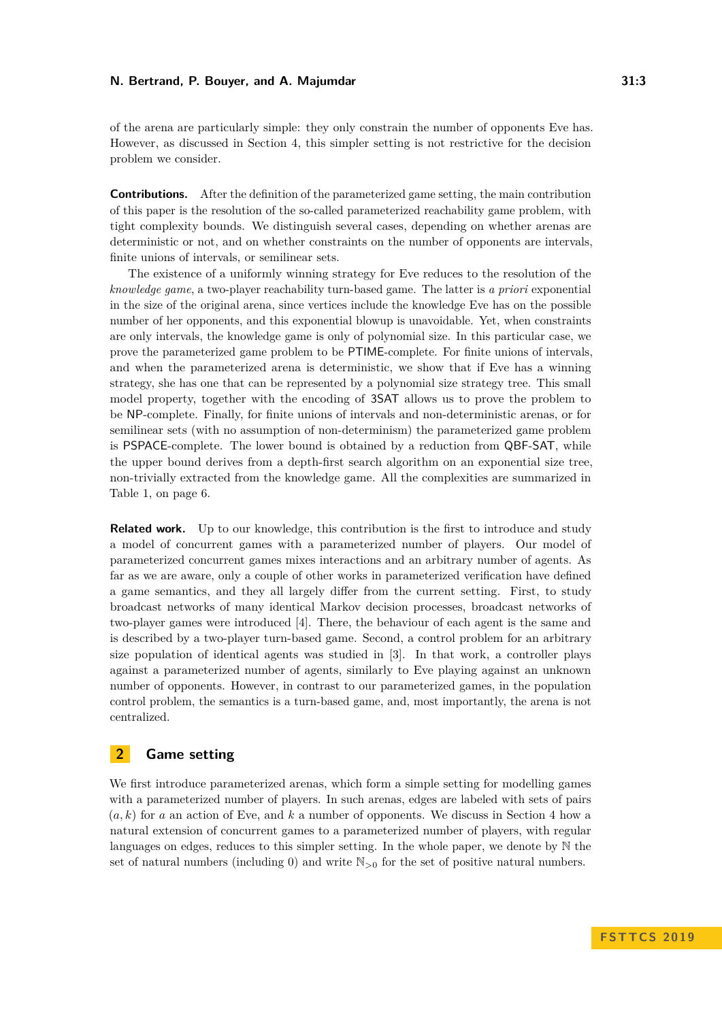of the arena are particularly simple: they only constrain the number of opponents Eve has. However, as discussed in Section [4,](#page-11-0) this simpler setting is not restrictive for the decision problem we consider.

**Contributions.** After the definition of the parameterized game setting, the main contribution of this paper is the resolution of the so-called parameterized reachability game problem, with tight complexity bounds. We distinguish several cases, depending on whether arenas are deterministic or not, and on whether constraints on the number of opponents are intervals, finite unions of intervals, or semilinear sets.

The existence of a uniformly winning strategy for Eve reduces to the resolution of the *knowledge game*, a two-player reachability turn-based game. The latter is *a priori* exponential in the size of the original arena, since vertices include the knowledge Eve has on the possible number of her opponents, and this exponential blowup is unavoidable. Yet, when constraints are only intervals, the knowledge game is only of polynomial size. In this particular case, we prove the parameterized game problem to be PTIME-complete. For finite unions of intervals, and when the parameterized arena is deterministic, we show that if Eve has a winning strategy, she has one that can be represented by a polynomial size strategy tree. This small model property, together with the encoding of 3SAT allows us to prove the problem to be NP-complete. Finally, for finite unions of intervals and non-deterministic arenas, or for semilinear sets (with no assumption of non-determinism) the parameterized game problem is PSPACE-complete. The lower bound is obtained by a reduction from QBF-SAT, while the upper bound derives from a depth-first search algorithm on an exponential size tree, non-trivially extracted from the knowledge game. All the complexities are summarized in Table [1,](#page-5-0) on page [6.](#page-5-0)

**Related work.** Up to our knowledge, this contribution is the first to introduce and study a model of concurrent games with a parameterized number of players. Our model of parameterized concurrent games mixes interactions and an arbitrary number of agents. As far as we are aware, only a couple of other works in parameterized verification have defined a game semantics, and they all largely differ from the current setting. First, to study broadcast networks of many identical Markov decision processes, broadcast networks of two-player games were introduced [\[4\]](#page-13-8). There, the behaviour of each agent is the same and is described by a two-player turn-based game. Second, a control problem for an arbitrary size population of identical agents was studied in [\[3\]](#page-13-9). In that work, a controller plays against a parameterized number of agents, similarly to Eve playing against an unknown number of opponents. However, in contrast to our parameterized games, in the population control problem, the semantics is a turn-based game, and, most importantly, the arena is not centralized.

# <span id="page-2-0"></span>**2 Game setting**

We first introduce parameterized arenas, which form a simple setting for modelling games with a parameterized number of players. In such arenas, edges are labeled with sets of pairs (*a, k*) for *a* an action of Eve, and *k* a number of opponents. We discuss in Section [4](#page-11-0) how a natural extension of concurrent games to a parameterized number of players, with regular languages on edges, reduces to this simpler setting. In the whole paper, we denote by N the set of natural numbers (including 0) and write  $\mathbb{N}_{>0}$  for the set of positive natural numbers.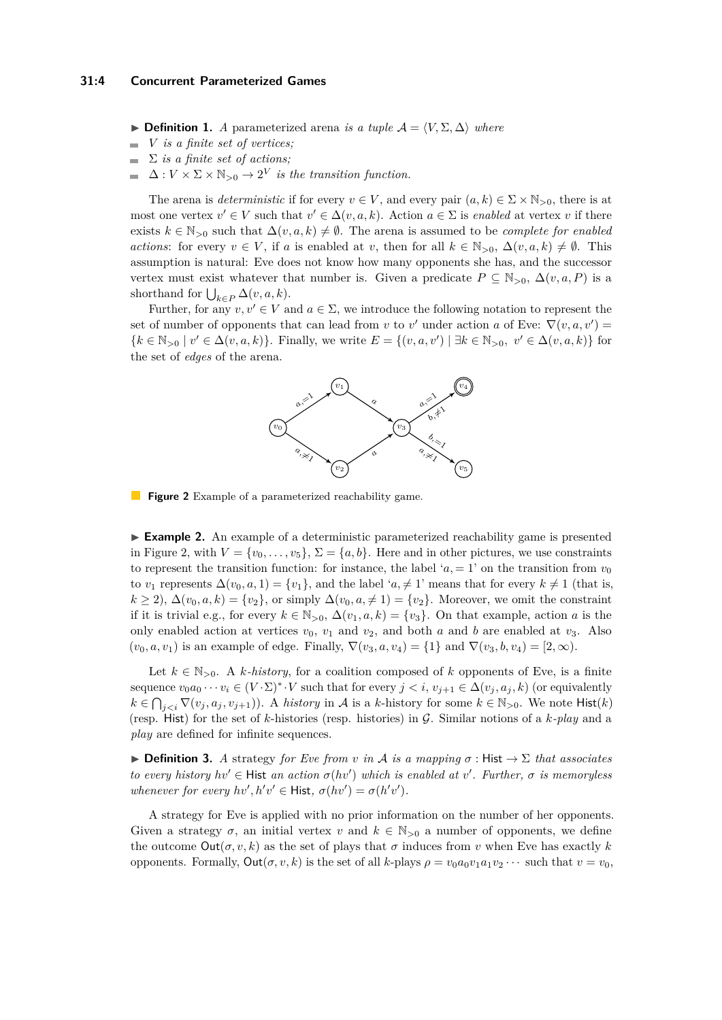**► Definition 1.** *A* parameterized arena *is a tuple*  $A = \langle V, \Sigma, \Delta \rangle$  *where* 

- *V is a finite set of vertices;*  $\overline{a}$
- Σ *is a finite set of actions;*
- $\Delta: V \times \Sigma \times \mathbb{N}_{>0} \to 2^V$  *is the transition function.*

The arena is *deterministic* if for every  $v \in V$ , and every pair  $(a, k) \in \Sigma \times \mathbb{N}_{>0}$ , there is at most one vertex  $v' \in V$  such that  $v' \in \Delta(v, a, k)$ . Action  $a \in \Sigma$  is *enabled* at vertex *v* if there exists  $k \in \mathbb{N}_{>0}$  such that  $\Delta(v, a, k) \neq \emptyset$ . The arena is assumed to be *complete for enabled actions*: for every  $v \in V$ , if *a* is enabled at *v*, then for all  $k \in \mathbb{N}_{>0}$ ,  $\Delta(v, a, k) \neq \emptyset$ . This assumption is natural: Eve does not know how many opponents she has, and the successor vertex must exist whatever that number is. Given a predicate  $P \subseteq N_{>0}$ ,  $\Delta(v, a, P)$  is a shorthand for  $\bigcup_{k \in P} \Delta(v, a, k)$ .

<span id="page-3-0"></span>Further, for any  $v, v' \in V$  and  $a \in \Sigma$ , we introduce the following notation to represent the set of number of opponents that can lead from *v* to *v'* under action *a* of Eve:  $\nabla$  $(v, a, v')$  ${k \in \mathbb{N}_{>0} | v' \in \Delta(v, a, k)}$ . Finally, we write  $E = {(v, a, v') | \exists k \in \mathbb{N}_{>0}, v' \in \Delta(v, a, k)}$  for the set of *edges* of the arena.



**Figure 2** Example of a parameterized reachability game.

<span id="page-3-1"></span>► **Example 2.** An example of a deterministic parameterized reachability game is presented in Figure [2,](#page-3-0) with  $V = \{v_0, \ldots, v_5\}, \Sigma = \{a, b\}.$  Here and in other pictures, we use constraints to represent the transition function: for instance, the label ' $a = 1$ ' on the transition from  $v_0$ to *v*<sub>1</sub> represents  $\Delta(v_0, a, 1) = \{v_1\}$ , and the label ' $a, \neq 1$ ' means that for every  $k \neq 1$  (that is,  $k \ge 2$ ),  $\Delta(v_0, a, k) = \{v_2\}$ , or simply  $\Delta(v_0, a \ne 1) = \{v_2\}$ . Moreover, we omit the constraint if it is trivial e.g., for every  $k \in \mathbb{N}_{>0}$ ,  $\Delta(v_1, a, k) = \{v_3\}$ . On that example, action *a* is the only enabled action at vertices  $v_0$ ,  $v_1$  and  $v_2$ , and both *a* and *b* are enabled at  $v_3$ . Also  $(v_0, a, v_1)$  is an example of edge. Finally,  $\nabla(v_3, a, v_4) = \{1\}$  and  $\nabla(v_3, b, v_4) = [2, \infty)$ .

Let  $k \in \mathbb{N}_{>0}$ . A *k*-history, for a coalition composed of *k* opponents of Eve, is a finite sequence  $v_0a_0 \cdots v_i \in (V \cdot \Sigma)^* \cdot V$  such that for every  $j < i$ ,  $v_{j+1} \in \Delta(v_j, a_j, k)$  (or equivalently  $k \in \bigcap_{j \leq i} \nabla(v_j, a_j, v_{j+1})$ . A *history* in A is a *k*-history for some  $k \in \mathbb{N}_{>0}$ . We note Hist $(k)$ (resp. Hist) for the set of *k*-histories (resp. histories) in G. Similar notions of a *k-play* and a *play* are defined for infinite sequences.

 $▶$  **Definition 3.** *A* strategy *for Eve from v in A is a mapping*  $σ$  : Hist  $→$   $Σ$  *that associates to every history*  $hv' \in$  Hist *an action*  $\sigma(hv')$  *which is enabled at*  $v'$ . *Further,*  $\sigma$  *is memoryless whenever for every*  $hv', h'v' \in$  **Hist**,  $\sigma(hv') = \sigma(h'v')$ *.* 

A strategy for Eve is applied with no prior information on the number of her opponents. Given a strategy  $\sigma$ , an initial vertex *v* and  $k \in \mathbb{N}_{>0}$  a number of opponents, we define the outcome  $Out(\sigma, v, k)$  as the set of plays that  $\sigma$  induces from *v* when Eve has exactly *k* opponents. Formally, Out(*σ, v, k*) is the set of all *k*-plays *ρ* = *v*0*a*0*v*1*a*1*v*<sup>2</sup> · · · such that *v* = *v*0,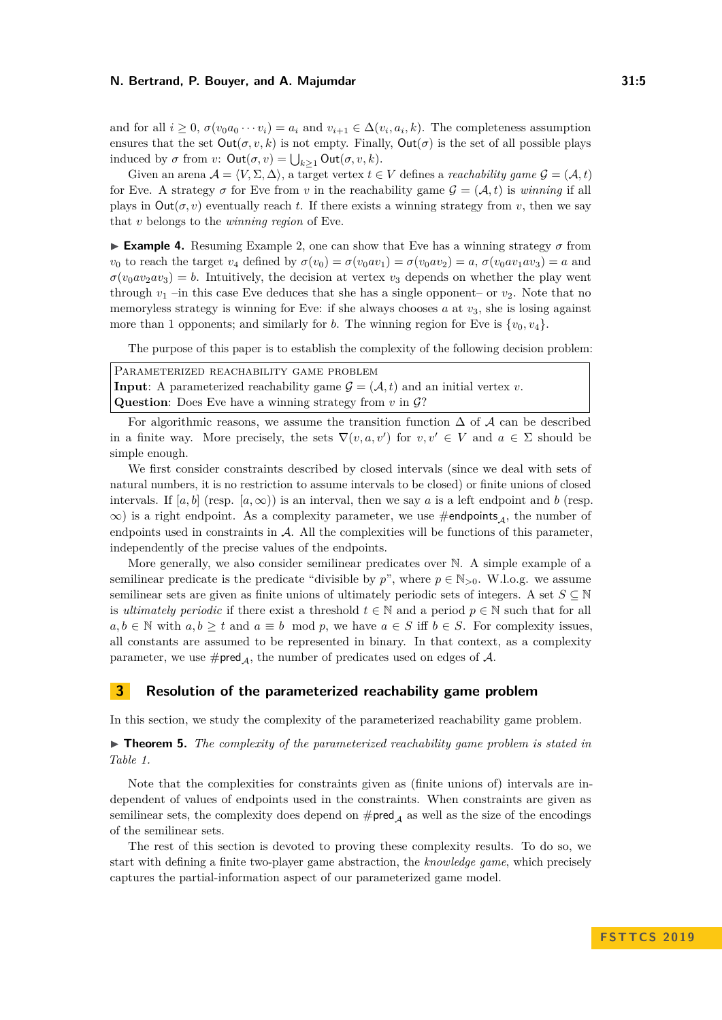and for all  $i \geq 0$ ,  $\sigma(v_0a_0 \cdots v_i) = a_i$  and  $v_{i+1} \in \Delta(v_i, a_i, k)$ . The completeness assumption ensures that the set  $Out(\sigma, v, k)$  is not empty. Finally,  $Out(\sigma)$  is the set of all possible plays induced by  $\sigma$  from  $v$ :  $\mathsf{Out}(\sigma, v) = \bigcup_{k \geq 1} \mathsf{Out}(\sigma, v, k)$ .

Given an arena  $A = \langle V, \Sigma, \Delta \rangle$ , a target vertex  $t \in V$  defines a *reachability game*  $\mathcal{G} = (\mathcal{A}, t)$ for Eve. A strategy  $\sigma$  for Eve from *v* in the reachability game  $\mathcal{G} = (\mathcal{A}, t)$  is *winning* if all plays in  $Out(\sigma, v)$  eventually reach *t*. If there exists a winning strategy from *v*, then we say that *v* belongs to the *winning region* of Eve.

**Example 4.** Resuming Example [2,](#page-3-1) one can show that Eve has a winning strategy  $\sigma$  from *v*<sub>0</sub> to reach the target *v*<sub>4</sub> defined by  $\sigma(v_0) = \sigma(v_0 a v_1) = \sigma(v_0 a v_2) = a$ ,  $\sigma(v_0 a v_1 a v_3) = a$  and  $\sigma(v_0 \omega_2 \omega_3) = b$ . Intuitively, the decision at vertex  $v_3$  depends on whether the play went through  $v_1$  –in this case Eve deduces that she has a single opponent– or  $v_2$ . Note that no memoryless strategy is winning for Eve: if she always chooses *a* at  $v_3$ , she is losing against more than 1 opponents; and similarly for *b*. The winning region for Eve is  $\{v_0, v_4\}$ .

The purpose of this paper is to establish the complexity of the following decision problem:

| PARAMETERIZED REACHABILITY GAME PROBLEM                                                                   |  |  |  |
|-----------------------------------------------------------------------------------------------------------|--|--|--|
| <b>Input:</b> A parameterized reachability game $\mathcal{G} = (\mathcal{A}, t)$ and an initial vertex v. |  |  |  |
| <b>Question:</b> Does Eve have a winning strategy from $v$ in $\mathcal{G}$ ?                             |  |  |  |

For algorithmic reasons, we assume the transition function  $\Delta$  of A can be described in a finite way. More precisely, the sets  $\nabla(v, a, v')$  for  $v, v' \in V$  and  $a \in \Sigma$  should be simple enough.

We first consider constraints described by closed intervals (since we deal with sets of natural numbers, it is no restriction to assume intervals to be closed) or finite unions of closed intervals. If  $[a, b]$  (resp.  $[a, \infty)$ ) is an interval, then we say a is a left endpoint and b (resp.  $\infty$ ) is a right endpoint. As a complexity parameter, we use #endpoints<sub>A</sub>, the number of endpoints used in constraints in A. All the complexities will be functions of this parameter, independently of the precise values of the endpoints.

More generally, we also consider semilinear predicates over N. A simple example of a semilinear predicate is the predicate "divisible by  $p$ ", where  $p \in \mathbb{N}_{>0}$ . W.l.o.g. we assume semilinear sets are given as finite unions of ultimately periodic sets of integers. A set  $S \subseteq \mathbb{N}$ is *ultimately periodic* if there exist a threshold  $t \in \mathbb{N}$  and a period  $p \in \mathbb{N}$  such that for all  $a, b \in \mathbb{N}$  with  $a, b \geq t$  and  $a \equiv b \mod p$ , we have  $a \in S$  iff  $b \in S$ . For complexity issues, all constants are assumed to be represented in binary. In that context, as a complexity parameter, we use  $\#\text{pred}_{\mathcal{A}}$ , the number of predicates used on edges of  $\mathcal{A}$ .

#### **3 Resolution of the parameterized reachability game problem**

In this section, we study the complexity of the parameterized reachability game problem.

# ► **Theorem 5.** *The complexity of the parameterized reachability game problem is stated in Table [1.](#page-5-0)*

Note that the complexities for constraints given as (finite unions of) intervals are independent of values of endpoints used in the constraints. When constraints are given as semilinear sets, the complexity does depend on  $\# pred_A$  as well as the size of the encodings of the semilinear sets.

The rest of this section is devoted to proving these complexity results. To do so, we start with defining a finite two-player game abstraction, the *knowledge game*, which precisely captures the partial-information aspect of our parameterized game model.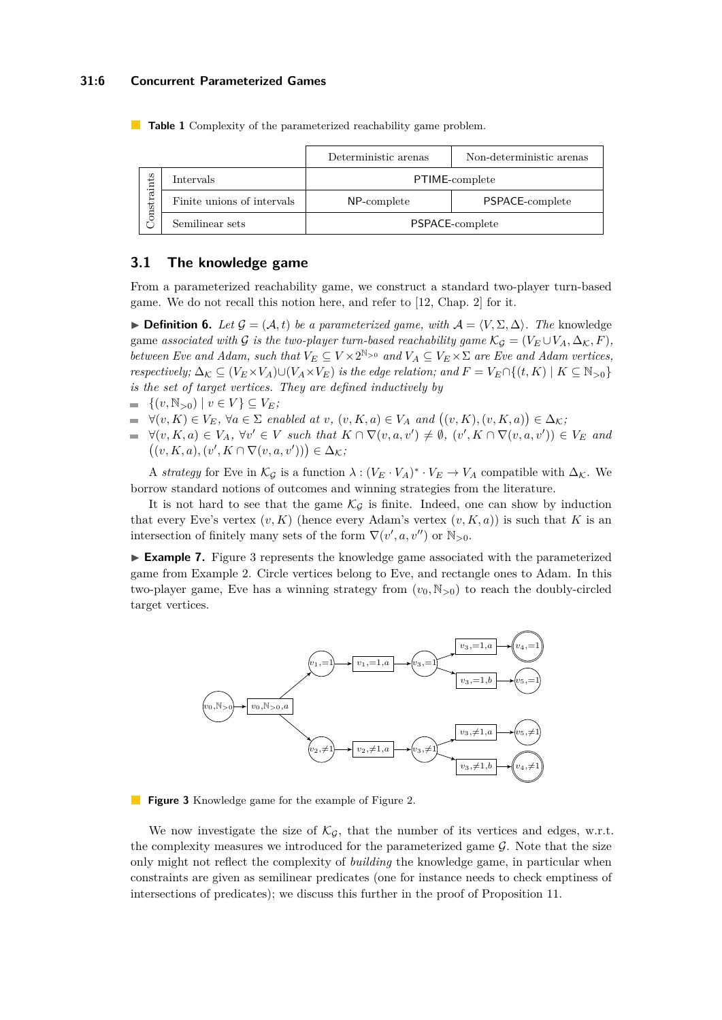#### **31:6 Concurrent Parameterized Games**

|            |                            | Deterministic arenas | Non-deterministic arenas |
|------------|----------------------------|----------------------|--------------------------|
| onstraints | Intervals                  | PTIME-complete       |                          |
|            | Finite unions of intervals | NP-complete          | PSPACE-complete          |
|            | Semilinear sets            | PSPACE-complete      |                          |

<span id="page-5-0"></span>**Table 1** Complexity of the parameterized reachability game problem.

# **3.1 The knowledge game**

From a parameterized reachability game, we construct a standard two-player turn-based game. We do not recall this notion here, and refer to [\[12,](#page-13-10) Chap. 2] for it.

**► Definition 6.** Let  $\mathcal{G} = (\mathcal{A}, t)$  be a parameterized game, with  $\mathcal{A} = \langle V, \Sigma, \Delta \rangle$ . The knowledge game *associated with* G *is the two-player turn-based reachability game*  $\mathcal{K}_{\mathcal{G}} = (V_E \cup V_A, \Delta_K, F)$ *, between Eve and Adam, such that*  $V_E \subseteq V \times 2^{\mathbb{N}>0}$  *and*  $V_A \subseteq V_E \times \Sigma$  *are Eve and Adam vertices, respectively;*  $\Delta_K \subseteq (V_E \times V_A) \cup (V_A \times V_E)$  *is the edge relation; and*  $F = V_E \cap \{(t, K) \mid K \subseteq \mathbb{N}_{>0}\}$ *is the set of target vertices. They are defined inductively by*

- $= \{(v, \mathbb{N}_{>0}) \mid v \in V\} \subseteq V_E;$
- $\forall (v, K) \in V_E$ ,  $\forall a \in \Sigma$  enabled at  $v$ ,  $(v, K, a) \in V_A$  and  $((v, K), (v, K, a)) \in \Delta_K$ ;
- $\forall (v, K, a) \in V_A$ ,  $\forall v' \in V$  such that  $K \cap \nabla(v, a, v') \neq \emptyset$ ,  $(v', K \cap \nabla(v, a, v')) \in V_E$  and  $((v, K, a), (v', K \cap \nabla(v, a, v')) \in \Delta_{\mathcal{K}};$

A *strategy* for Eve in  $\mathcal{K}_{\mathcal{G}}$  is a function  $\lambda : (V_E \cdot V_A)^* \cdot V_E \to V_A$  compatible with  $\Delta_{\mathcal{K}}$ . We borrow standard notions of outcomes and winning strategies from the literature.

It is not hard to see that the game  $\mathcal{K}_G$  is finite. Indeed, one can show by induction that every Eve's vertex  $(v, K)$  (hence every Adam's vertex  $(v, K, a)$ ) is such that K is an intersection of finitely many sets of the form  $\nabla(v', a, v'')$  or  $\mathbb{N}_{>0}$ .

► **Example 7.** Figure [3](#page-5-1) represents the knowledge game associated with the parameterized game from Example [2.](#page-3-1) Circle vertices belong to Eve, and rectangle ones to Adam. In this two-player game, Eve has a winning strategy from  $(v_0, N_{>0})$  to reach the doubly-circled target vertices.

<span id="page-5-1"></span>

**Figure 3** Knowledge game for the example of Figure [2.](#page-3-0)

We now investigate the size of  $\mathcal{K}_G$ , that the number of its vertices and edges, w.r.t. the complexity measures we introduced for the parameterized game  $\mathcal{G}$ . Note that the size only might not reflect the complexity of *building* the knowledge game, in particular when constraints are given as semilinear predicates (one for instance needs to check emptiness of intersections of predicates); we discuss this further in the proof of Proposition [11.](#page-7-0)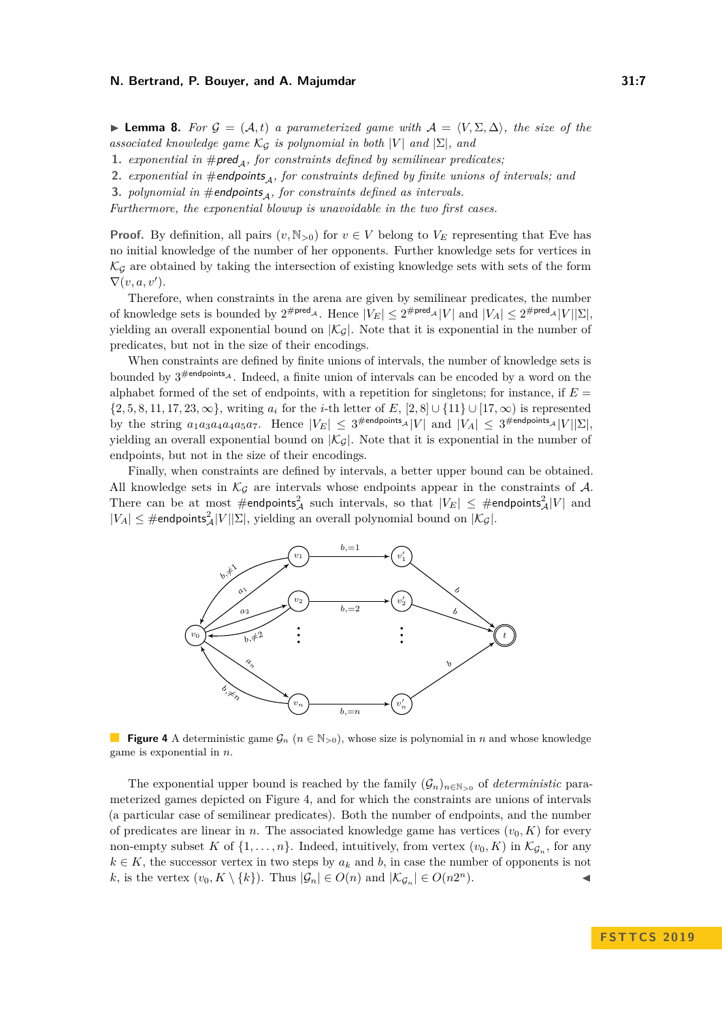<span id="page-6-1"></span>**Lemma 8.** For  $\mathcal{G} = (\mathcal{A}, t)$  a parameterized game with  $\mathcal{A} = \langle V, \Sigma, \Delta \rangle$ , the size of the *associated knowledge game*  $\mathcal{K}_{\mathcal{G}}$  *is polynomial in both*  $|V|$  *and*  $|\Sigma|$ *, and* 

- **1.** *exponential in*  $\# \text{pred}_{\Lambda}$ *, for constraints defined by semilinear predicates;*
- **2.** *exponential in*  $\#$ *endpoints<sub>A</sub>, for constraints defined by finite unions of intervals; and*
- **3.** *polynomial in*  $#$ endpoints<sub>4</sub>, for constraints defined as intervals.

*Furthermore, the exponential blowup is unavoidable in the two first cases.*

**Proof.** By definition, all pairs  $(v, N_{>0})$  for  $v \in V$  belong to  $V_E$  representing that Eve has no initial knowledge of the number of her opponents. Further knowledge sets for vertices in  $\mathcal{K}_{\mathcal{G}}$  are obtained by taking the intersection of existing knowledge sets with sets of the form  $\nabla(v, a, v').$ 

Therefore, when constraints in the arena are given by semilinear predicates, the number of knowledge sets is bounded by  $2^{\text{#pred}_{\mathcal{A}}}$ . Hence  $|V_E| \leq 2^{\text{#pred}_{\mathcal{A}}} |V|$  and  $|V_A| \leq 2^{\text{#pred}_{\mathcal{A}}} |V||\Sigma|$ , yielding an overall exponential bound on  $|\mathcal{K}_{\mathcal{G}}|$ . Note that it is exponential in the number of predicates, but not in the size of their encodings.

When constraints are defined by finite unions of intervals, the number of knowledge sets is bounded by  $3^{\text{#endpoints}}$ . Indeed, a finite union of intervals can be encoded by a word on the alphabet formed of the set of endpoints, with a repetition for singletons; for instance, if *E* =  $\{2, 5, 8, 11, 17, 23, \infty\}$ , writing  $a_i$  for the *i*-th letter of *E*,  $[2, 8] \cup \{11\} \cup [17, \infty)$  is represented by the string  $a_1a_3a_4a_4a_5a_7$ . Hence  $|V_E| \leq 3^{\text{\#endpoints}_A} |V|$  and  $|V_A| \leq 3^{\text{\#endpoints}_A} |V||\Sigma|$ , yielding an overall exponential bound on  $|\mathcal{K}_{\mathcal{G}}|$ . Note that it is exponential in the number of endpoints, but not in the size of their encodings.

Finally, when constraints are defined by intervals, a better upper bound can be obtained. All knowledge sets in  $\mathcal{K}_{\mathcal{G}}$  are intervals whose endpoints appear in the constraints of  $\mathcal{A}$ . There can be at most  $\#$ endpoints $^2_\mathcal{A}$  such intervals, so that  $|V_E| \leq \#$ endpoints $^2_\mathcal{A}|V|$  and  $|V_A| \leq \text{\#endpoints}^2_A|V||\Sigma|$ , yielding an overall polynomial bound on  $|\mathcal{K}_{\mathcal{G}}|$ .

<span id="page-6-0"></span>

**Figure 4** A deterministic game  $\mathcal{G}_n$  ( $n \in \mathbb{N}_{>0}$ ), whose size is polynomial in *n* and whose knowledge game is exponential in *n*.

The exponential upper bound is reached by the family  $(G_n)_{n \in \mathbb{N}_{>0}}$  of *deterministic* parameterized games depicted on Figure [4,](#page-6-0) and for which the constraints are unions of intervals (a particular case of semilinear predicates). Both the number of endpoints, and the number of predicates are linear in *n*. The associated knowledge game has vertices  $(v_0, K)$  for every non-empty subset *K* of  $\{1, \ldots, n\}$ . Indeed, intuitively, from vertex  $(v_0, K)$  in  $\mathcal{K}_{\mathcal{G}_n}$ , for any  $k \in K$ , the successor vertex in two steps by  $a_k$  and  $b$ , in case the number of opponents is not *k*, is the vertex  $(v_0, K \setminus \{k\})$ . Thus  $|\mathcal{G}_n| \in O(n)$  and  $|\mathcal{K}_{\mathcal{G}_n}| \in O(n2^n)$ .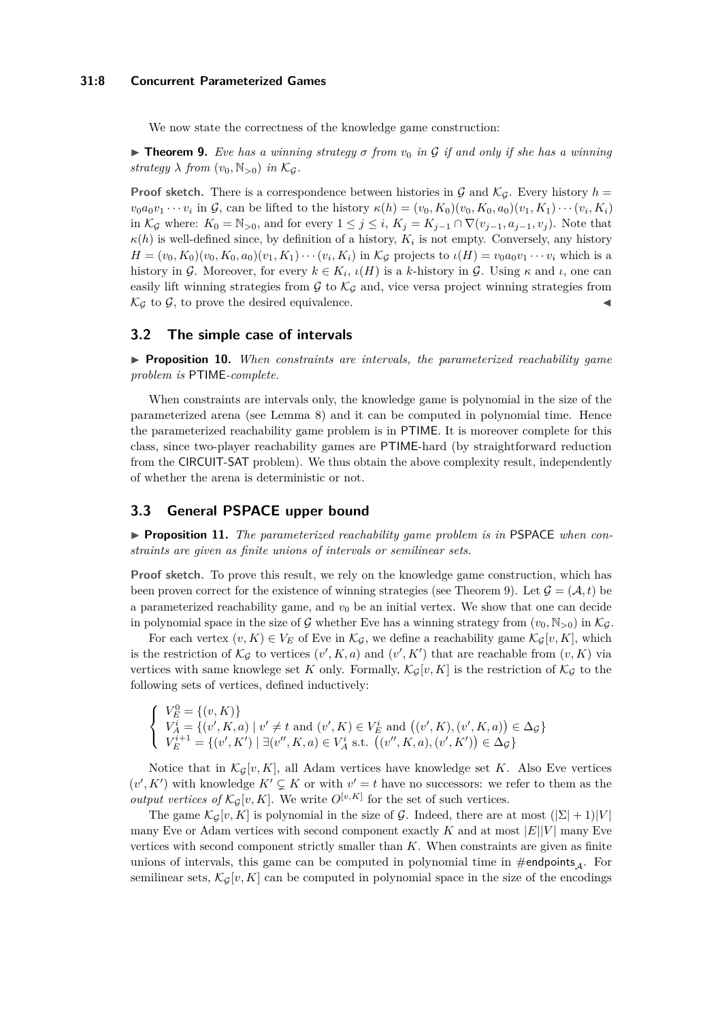#### **31:8 Concurrent Parameterized Games**

We now state the correctness of the knowledge game construction:

<span id="page-7-1"></span>I **Theorem 9.** *Eve has a winning strategy σ from v*<sup>0</sup> *in* G *if and only if she has a winning strategy*  $\lambda$  *from*  $(v_0, \mathbb{N}_{>0})$  *in*  $\mathcal{K}_G$ *.* 

**Proof sketch.** There is a correspondence between histories in  $\mathcal G$  and  $\mathcal K_{\mathcal G}$ . Every history  $h =$  $v_0a_0v_1\cdots v_i$  in  $\mathcal{G}$ , can be lifted to the history  $\kappa(h)=(v_0,K_0)(v_0,K_0,a_0)(v_1,K_1)\cdots(v_i,K_i)$ in  $\mathcal{K}_{\mathcal{G}}$  where:  $K_0 = \mathbb{N}_{>0}$ , and for every  $1 \leq j \leq i$ ,  $K_j = K_{j-1} \cap \nabla(v_{j-1}, a_{j-1}, v_j)$ . Note that  $\kappa(h)$  is well-defined since, by definition of a history,  $K_i$  is not empty. Conversely, any history  $H = (v_0, K_0)(v_0, K_0, a_0)(v_1, K_1)\cdots(v_i, K_i)$  in  $\mathcal{K}_{\mathcal{G}}$  projects to  $\iota(H) = v_0 a_0 v_1 \cdots v_i$  which is a history in G. Moreover, for every  $k \in K_i$ ,  $\iota(H)$  is a *k*-history in G. Using  $\kappa$  and  $\iota$ , one can easily lift winning strategies from  $G$  to  $K_G$  and, vice versa project winning strategies from  $\mathcal{K}_{\mathcal{G}}$  to  $\mathcal{G}$ , to prove the desired equivalence.

### **3.2 The simple case of intervals**

I **Proposition 10.** *When constraints are intervals, the parameterized reachability game problem is* PTIME*-complete.*

When constraints are intervals only, the knowledge game is polynomial in the size of the parameterized arena (see Lemma [8\)](#page-6-1) and it can be computed in polynomial time. Hence the parameterized reachability game problem is in PTIME. It is moreover complete for this class, since two-player reachability games are PTIME-hard (by straightforward reduction from the CIRCUIT-SAT problem). We thus obtain the above complexity result, independently of whether the arena is deterministic or not.

# **3.3 General PSPACE upper bound**

<span id="page-7-0"></span>▶ **Proposition 11.** *The parameterized reachability game problem is in* PSPACE *when constraints are given as finite unions of intervals or semilinear sets.*

Proof sketch. To prove this result, we rely on the knowledge game construction, which has been proven correct for the existence of winning strategies (see Theorem [9\)](#page-7-1). Let  $\mathcal{G} = (\mathcal{A}, t)$  be a parameterized reachability game, and  $v_0$  be an initial vertex. We show that one can decide in polynomial space in the size of G whether Eve has a winning strategy from  $(v_0, N_{>0})$  in  $\mathcal{K}_{\mathcal{G}}$ .

For each vertex  $(v, K) \in V_E$  of Eve in  $\mathcal{K}_G$ , we define a reachability game  $\mathcal{K}_G[v, K]$ , which is the restriction of  $\mathcal{K}_{\mathcal{G}}$  to vertices  $(v', K, a)$  and  $(v', K')$  that are reachable from  $(v, K)$  via vertices with same knowlege set K only. Formally,  $\mathcal{K}_{G}[v, K]$  is the restriction of  $\mathcal{K}_{G}$  to the following sets of vertices, defined inductively:

$$
\begin{cases}\nV_E^0 = \{(v, K)\} \\
V_A^i = \{(v', K, a) \mid v' \neq t \text{ and } (v', K) \in V_E^i \text{ and } ((v', K), (v', K, a)) \in \Delta_{\mathcal{G}}\} \\
V_E^{i+1} = \{(v', K') \mid \exists (v'', K, a) \in V_A^i \text{ s.t. } ((v'', K, a), (v', K')) \in \Delta_{\mathcal{G}}\}\n\end{cases}
$$

Notice that in  $\mathcal{K}_{\mathcal{G}}[v, K]$ , all Adam vertices have knowledge set *K*. Also Eve vertices  $(v', K')$  with knowledge  $K' \subsetneq K$  or with  $v' = t$  have no successors: we refer to them as the *output vertices of*  $K_G[v, K]$ . We write  $O^{[v, K]}$  for the set of such vertices.

The game  $\mathcal{K}_G[v, K]$  is polynomial in the size of  $\mathcal{G}$ . Indeed, there are at most  $(|\Sigma| + 1)|V|$ many Eve or Adam vertices with second component exactly  $K$  and at most  $|E||V|$  many Eve vertices with second component strictly smaller than *K*. When constraints are given as finite unions of intervals, this game can be computed in polynomial time in  $\#$ endpoints<sub>4</sub>. For semilinear sets,  $\mathcal{K}_{\mathcal{G}}[v, K]$  can be computed in polynomial space in the size of the encodings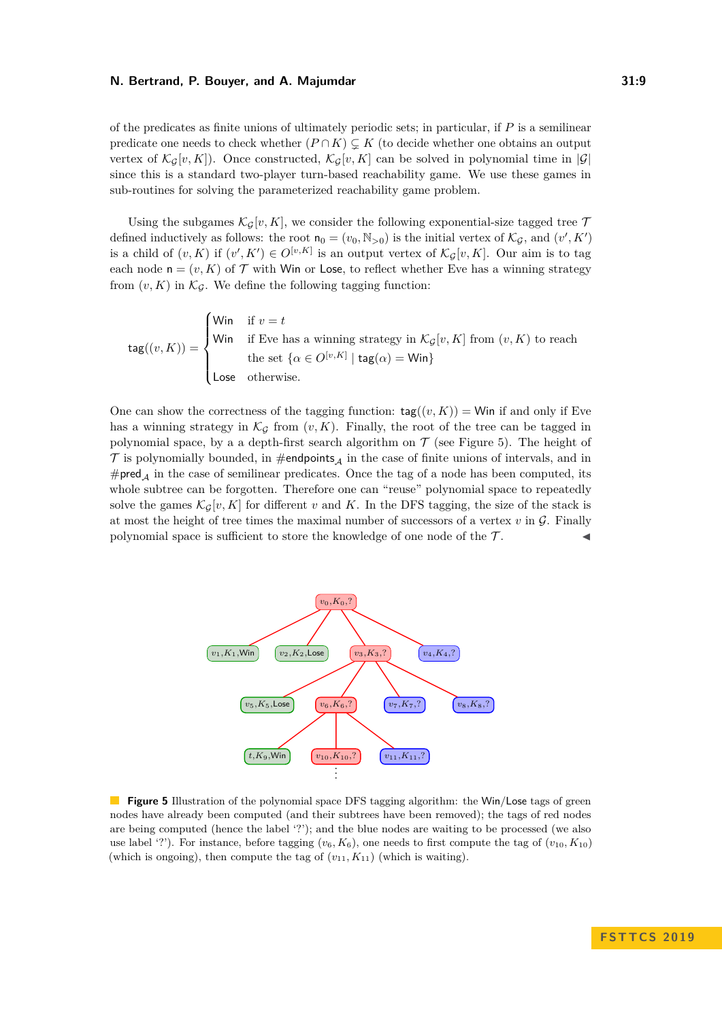of the predicates as finite unions of ultimately periodic sets; in particular, if *P* is a semilinear predicate one needs to check whether  $(P \cap K) \subsetneq K$  (to decide whether one obtains an output vertex of  $\mathcal{K}_G[v,K]$ ). Once constructed,  $\mathcal{K}_G[v,K]$  can be solved in polynomial time in  $|\mathcal{G}|$ since this is a standard two-player turn-based reachability game. We use these games in sub-routines for solving the parameterized reachability game problem.

Using the subgames  $\mathcal{K}_{\mathcal{G}}[v, K]$ , we consider the following exponential-size tagged tree  $\mathcal{T}$ defined inductively as follows: the root  $n_0 = (v_0, N_{>0})$  is the initial vertex of  $\mathcal{K}_{\mathcal{G}}$ , and  $(v', K')$ is a child of  $(v, K)$  if  $(v', K') \in O^{[v, K]}$  is an output vertex of  $\mathcal{K}_{\mathcal{G}}[v, K]$ . Our aim is to tag each node  $n = (v, K)$  of  $T$  with Win or Lose, to reflect whether Eve has a winning strategy from  $(v, K)$  in  $\mathcal{K}_{\mathcal{G}}$ . We define the following tagging function:

$$
\text{tag} (v, K)) = \begin{cases} \text{Win} & \text{if } v = t \\ \text{Win} & \text{if Eve has a winning strategy in } \mathcal{K}_{\mathcal{G}}[v, K] \text{ from } (v, K) \text{ to reach} \\ & \text{the set } \{ \alpha \in O^{[v, K]} \mid \text{tag}(\alpha) = \text{Win} \} \\ \text{Lose} & \text{otherwise.} \end{cases}
$$

One can show the correctness of the tagging function:  $\text{tag}(v, K)$ ) = Win if and only if Eve has a winning strategy in  $\mathcal{K}_G$  from  $(v, K)$ . Finally, the root of the tree can be tagged in polynomial space, by a a depth-first search algorithm on  $\mathcal T$  (see Figure [5\)](#page-8-0). The height of  $\mathcal T$  is polynomially bounded, in #endpoints<sub>A</sub> in the case of finite unions of intervals, and in # $\beta$  in the case of semilinear predicates. Once the tag of a node has been computed, its whole subtree can be forgotten. Therefore one can "reuse" polynomial space to repeatedly solve the games  $\mathcal{K}_G[v, K]$  for different *v* and *K*. In the DFS tagging, the size of the stack is at most the height of tree times the maximal number of successors of a vertex  $v$  in  $\mathcal G$ . Finally polynomial space is sufficient to store the knowledge of one node of the  $\mathcal{T}$ .

<span id="page-8-0"></span>

**Figure 5** Illustration of the polynomial space DFS tagging algorithm: the Win/Lose tags of green nodes have already been computed (and their subtrees have been removed); the tags of red nodes are being computed (hence the label '?'); and the blue nodes are waiting to be processed (we also use label '?'). For instance, before tagging  $(v_6, K_6)$ , one needs to first compute the tag of  $(v_{10}, K_{10})$ (which is ongoing), then compute the tag of  $(v_{11}, K_{11})$  (which is waiting).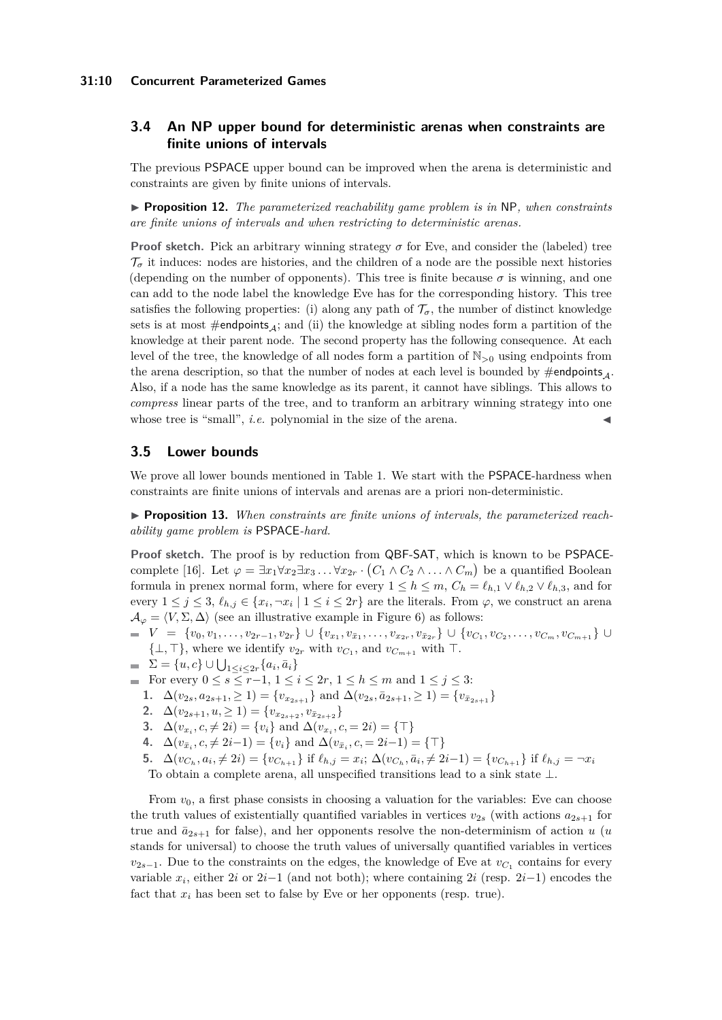#### **31:10 Concurrent Parameterized Games**

# **3.4 An NP upper bound for deterministic arenas when constraints are finite unions of intervals**

The previous PSPACE upper bound can be improved when the arena is deterministic and constraints are given by finite unions of intervals.

▶ **Proposition 12.** *The parameterized reachability game problem is in* NP, when constraints *are finite unions of intervals and when restricting to deterministic arenas.*

**Proof sketch.** Pick an arbitrary winning strategy  $\sigma$  for Eve, and consider the (labeled) tree  $\mathcal{T}_{\sigma}$  it induces: nodes are histories, and the children of a node are the possible next histories (depending on the number of opponents). This tree is finite because  $\sigma$  is winning, and one can add to the node label the knowledge Eve has for the corresponding history. This tree satisfies the following properties: (i) along any path of  $\mathcal{T}_{\sigma}$ , the number of distinct knowledge sets is at most  $\#$ endpoints<sub>4</sub>; and (ii) the knowledge at sibling nodes form a partition of the knowledge at their parent node. The second property has the following consequence. At each level of the tree, the knowledge of all nodes form a partition of N*>*<sup>0</sup> using endpoints from the arena description, so that the number of nodes at each level is bounded by  $\#$ endpoints<sub>A</sub>. Also, if a node has the same knowledge as its parent, it cannot have siblings. This allows to *compress* linear parts of the tree, and to tranform an arbitrary winning strategy into one whose tree is "small",  $i.e.$  polynomial in the size of the arena.

#### **3.5 Lower bounds**

We prove all lower bounds mentioned in Table [1.](#page-5-0) We start with the PSPACE-hardness when constraints are finite unions of intervals and arenas are a priori non-deterministic.

<span id="page-9-0"></span>▶ **Proposition 13.** When constraints are finite unions of intervals, the parameterized reach*ability game problem is* PSPACE*-hard.*

**Proof sketch.** The proof is by reduction from QBF-SAT, which is known to be PSPACE-complete [\[16\]](#page-14-2). Let  $\varphi = \exists x_1 \forall x_2 \exists x_3 \dots \forall x_{2r} \cdot (C_1 \wedge C_2 \wedge \dots \wedge C_m)$  be a quantified Boolean formula in prenex normal form, where for every  $1 \leq h \leq m$ ,  $C_h = \ell_{h,1} \vee \ell_{h,2} \vee \ell_{h,3}$ , and for every  $1 \leq j \leq 3$ ,  $\ell_{h,j} \in \{x_i, \neg x_i \mid 1 \leq i \leq 2r\}$  are the literals. From  $\varphi$ , we construct an arena  $\mathcal{A}_{\varphi} = \langle V, \Sigma, \Delta \rangle$  (see an illustrative example in Figure [6\)](#page-10-0) as follows:

 $V = \{v_0, v_1, \ldots, v_{2r-1}, v_{2r}\} \cup \{v_{x_1}, v_{\bar{x}_1}, \ldots, v_{x_{2r}}, v_{\bar{x}_{2r}}\} \cup \{v_{C_1}, v_{C_2}, \ldots, v_{C_m}, v_{C_{m+1}}\} \cup$  $\{\perp, \top\}$ , where we identify  $v_{2r}$  with  $v_{C_1}$ , and  $v_{C_{m+1}}$  with  $\top$ .

- $\Sigma = \{u, c\} \cup \bigcup_{1 \leq i \leq 2r} \{a_i, \bar{a}_i\}$
- **■** For every  $0 \le s \le r-1, 1 \le i \le 2r, 1 \le h \le m$  and  $1 \le j \le 3$ :
	- **1.**  $\Delta(v_{2s}, a_{2s+1}, \geq 1) = \{v_{x_{2s+1}}\}$  and  $\Delta(v_{2s}, a_{2s+1}, \geq 1) = \{v_{\bar{x}_{2s+1}}\}$
	- 2.  $\Delta(v_{2s+1}, u, \ge 1) = \{v_{x_{2s+2}}, v_{\bar{x}_{2s+2}}\}$
	- **3.**  $\Delta(v_{x_i}, c, \neq 2i) = \{v_i\}$  and  $\Delta(v_{x_i}, c, = 2i) = \{\top\}$
	- **4.**  $\Delta(v_{\bar{x}_i}, c, \neq 2i-1) = \{v_i\}$  and  $\Delta(v_{\bar{x}_i}, c, = 2i-1) = \{\top\}$
	- 5.  $\Delta(v_{C_h}, a_i, \neq 2i) = \{v_{C_{h+1}}\}\$ if  $\ell_{h,j} = x_i; \ \Delta(v_{C_h}, \bar{a}_i, \neq 2i-1) = \{v_{C_{h+1}}\}\$ if  $\ell_{h,j} = -x_i$

To obtain a complete arena, all unspecified transitions lead to a sink state ⊥.

From  $v_0$ , a first phase consists in choosing a valuation for the variables: Eve can choose the truth values of existentially quantified variables in vertices  $v_{2s}$  (with actions  $a_{2s+1}$  for true and  $\bar{a}_{2s+1}$  for false), and her opponents resolve the non-determinism of action *u* (*u* stands for universal) to choose the truth values of universally quantified variables in vertices  $v_{2s-1}$ . Due to the constraints on the edges, the knowledge of Eve at  $v_{C_1}$  contains for every variable  $x_i$ , either  $2i$  or  $2i-1$  (and not both); where containing  $2i$  (resp.  $2i-1$ ) encodes the fact that  $x_i$  has been set to false by Eve or her opponents (resp. true).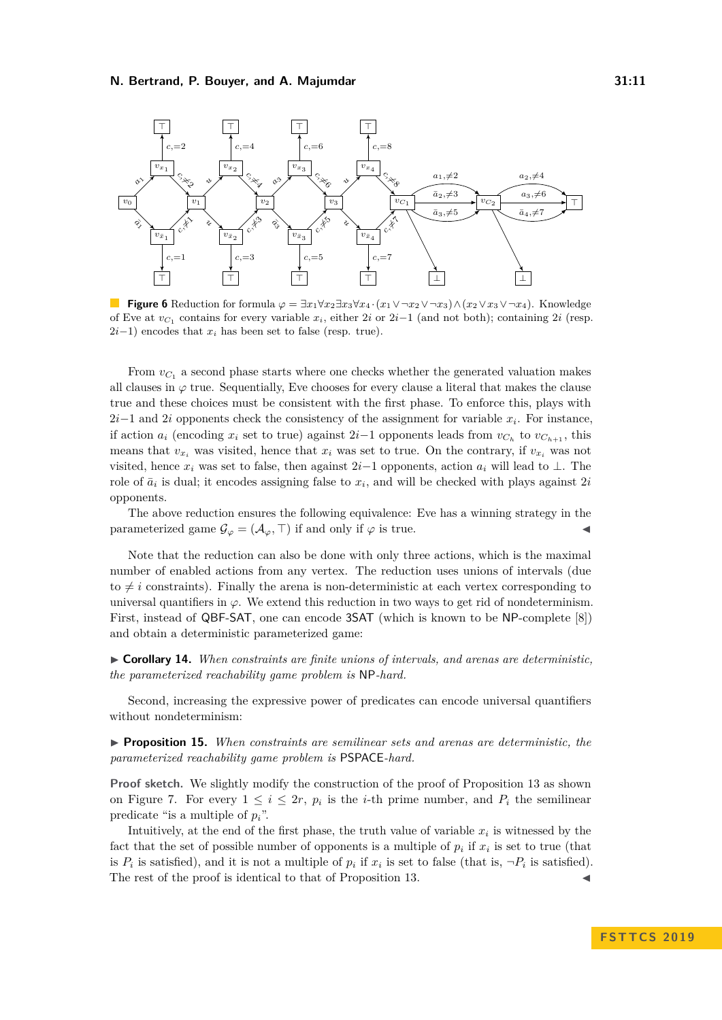<span id="page-10-0"></span>

**Figure 6** Reduction for formula  $\varphi = \exists x_1 \forall x_2 \exists x_3 \forall x_4 \cdot (x_1 \vee \neg x_2 \vee \neg x_3) \wedge (x_2 \vee x_3 \vee \neg x_4)$ . Knowledge of Eve at  $v_{C_1}$  contains for every variable  $x_i$ , either 2*i* or 2*i*−1 (and not both); containing 2*i* (resp.  $2i-1$ ) encodes that  $x_i$  has been set to false (resp. true).

From  $v_{C_1}$  a second phase starts where one checks whether the generated valuation makes all clauses in  $\varphi$  true. Sequentially, Eve chooses for every clause a literal that makes the clause true and these choices must be consistent with the first phase. To enforce this, plays with 2*i*−1 and 2*i* opponents check the consistency of the assignment for variable *x<sup>i</sup>* . For instance, if action  $a_i$  (encoding  $x_i$  set to true) against 2*i*−1 opponents leads from  $v_{C_h}$  to  $v_{C_{h+1}}$ , this means that  $v_x$  was visited, hence that  $x_i$  was set to true. On the contrary, if  $v_x$  was not visited, hence  $x_i$  was set to false, then against  $2i-1$  opponents, action  $a_i$  will lead to ⊥. The role of  $\bar{a}_i$  is dual; it encodes assigning false to  $x_i$ , and will be checked with plays against  $2i$ opponents.

The above reduction ensures the following equivalence: Eve has a winning strategy in the parameterized game  $\mathcal{G}_{\varphi} = (\mathcal{A}_{\varphi}, \top)$  if and only if  $\varphi$  is true.

Note that the reduction can also be done with only three actions, which is the maximal number of enabled actions from any vertex. The reduction uses unions of intervals (due to  $\neq i$  constraints). Finally the arena is non-deterministic at each vertex corresponding to universal quantifiers in  $\varphi$ . We extend this reduction in two ways to get rid of nondeterminism. First, instead of QBF-SAT, one can encode 3SAT (which is known to be NP-complete [\[8\]](#page-13-11)) and obtain a deterministic parameterized game:

I **Corollary 14.** *When constraints are finite unions of intervals, and arenas are deterministic, the parameterized reachability game problem is* NP*-hard.*

Second, increasing the expressive power of predicates can encode universal quantifiers without nondeterminism:

<span id="page-10-1"></span>I **Proposition 15.** *When constraints are semilinear sets and arenas are deterministic, the parameterized reachability game problem is* PSPACE*-hard.*

**Proof sketch.** We slightly modify the construction of the proof of Proposition [13](#page-9-0) as shown on Figure [7.](#page-11-1) For every  $1 \leq i \leq 2r$ ,  $p_i$  is the *i*-th prime number, and  $P_i$  the semilinear predicate "is a multiple of  $p_i$ ".

Intuitively, at the end of the first phase, the truth value of variable  $x_i$  is witnessed by the fact that the set of possible number of opponents is a multiple of  $p_i$  if  $x_i$  is set to true (that is  $P_i$  is satisfied), and it is not a multiple of  $p_i$  if  $x_i$  is set to false (that is,  $\neg P_i$  is satisfied). The rest of the proof is identical to that of Proposition [13.](#page-9-0)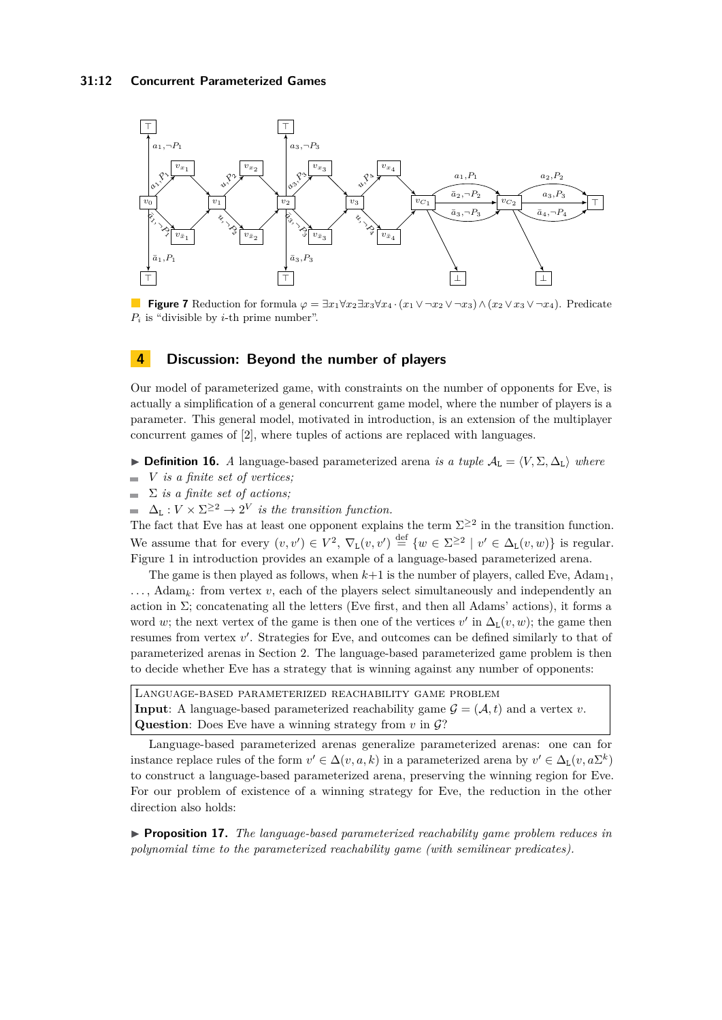<span id="page-11-1"></span>

**Figure 7** Reduction for formula  $\varphi = \exists x_1 \forall x_2 \exists x_3 \forall x_4 \cdot (x_1 \vee \neg x_2 \vee \neg x_3) \wedge (x_2 \vee x_3 \vee \neg x_4)$ . Predicate *P<sup>i</sup>* is "divisible by *i*-th prime number".

# <span id="page-11-0"></span>**4 Discussion: Beyond the number of players**

Our model of parameterized game, with constraints on the number of opponents for Eve, is actually a simplification of a general concurrent game model, where the number of players is a parameter. This general model, motivated in introduction, is an extension of the multiplayer concurrent games of [\[2\]](#page-13-5), where tuples of actions are replaced with languages.

**► Definition 16.** *A* language-based parameterized arena *is a tuple*  $A_L = \langle V, \Sigma, \Delta_L \rangle$  where

- $\blacksquare$ *V is a finite set of vertices;*
- $\sum$  *is a finite set of actions;*
- $\Delta_{\text{L}} : V \times \Sigma^{\geq 2} \to 2^V$  *is the transition function.*

The fact that Eve has at least one opponent explains the term  $\Sigma^{\geq 2}$  in the transition function. We assume that for every  $(v, v') \in V^2$ ,  $\nabla_L(v, v') \stackrel{\text{def}}{=} \{w \in \Sigma^{\geq 2} \mid v' \in \Delta_L(v, w)\}\$ is regular. Figure [1](#page-1-0) in introduction provides an example of a language-based parameterized arena.

The game is then played as follows, when  $k+1$  is the number of players, called Eve,  $\text{Adam}_1$ ,  $\ldots$ ,  $\text{Adam}_k$ : from vertex *v*, each of the players select simultaneously and independently and action in  $\Sigma$ ; concatenating all the letters (Eve first, and then all Adams' actions), it forms a word *w*; the next vertex of the game is then one of the vertices  $v'$  in  $\Delta_{\mathcal{L}}(v, w)$ ; the game then resumes from vertex  $v'$ . Strategies for Eve, and outcomes can be defined similarly to that of parameterized arenas in Section [2.](#page-2-0) The language-based parameterized game problem is then to decide whether Eve has a strategy that is winning against any number of opponents:

Language-based parameterized reachability game problem **Input**: A language-based parameterized reachability game  $\mathcal{G} = (\mathcal{A}, t)$  and a vertex *v*. **Question:** Does Eve have a winning strategy from  $v$  in  $\mathcal{G}$ ?

Language-based parameterized arenas generalize parameterized arenas: one can for instance replace rules of the form  $v' \in \Delta(v, a, k)$  in a parameterized arena by  $v' \in \Delta_L(v, a\Sigma^k)$ to construct a language-based parameterized arena, preserving the winning region for Eve. For our problem of existence of a winning strategy for Eve, the reduction in the other direction also holds:

<span id="page-11-2"></span>I **Proposition 17.** *The language-based parameterized reachability game problem reduces in polynomial time to the parameterized reachability game (with semilinear predicates).*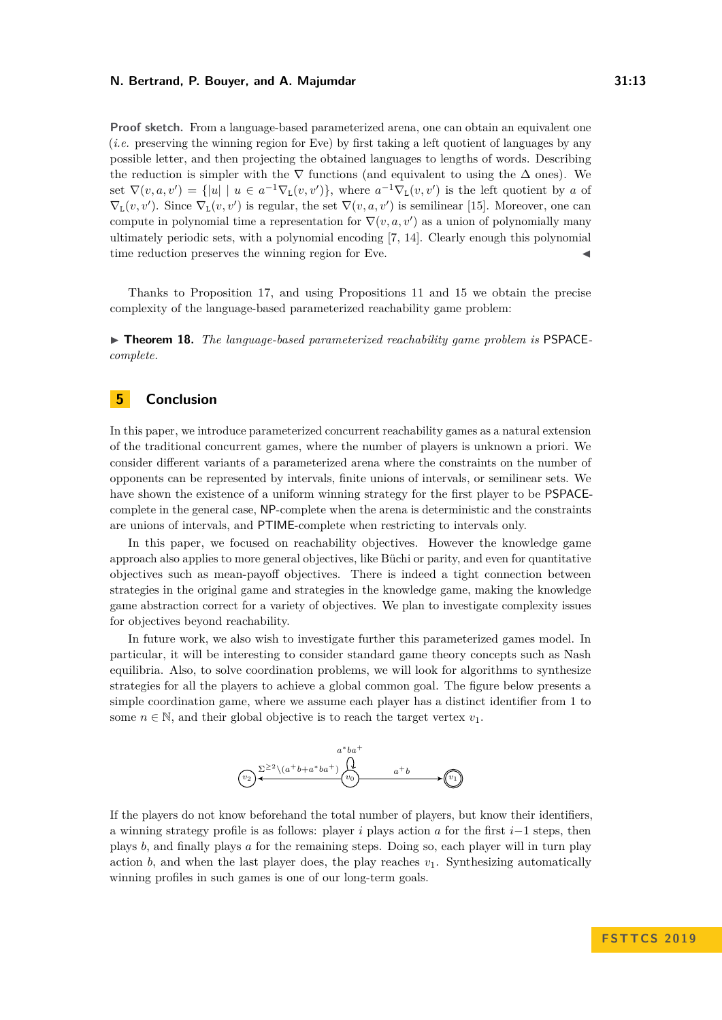**Proof sketch.** From a language-based parameterized arena, one can obtain an equivalent one (*i.e.* preserving the winning region for Eve) by first taking a left quotient of languages by any possible letter, and then projecting the obtained languages to lengths of words. Describing the reduction is simpler with the  $\nabla$  functions (and equivalent to using the  $\Delta$  ones). We set  $\nabla(v, a, v') = \{|u| \mid u \in a^{-1}\nabla_L(v, v')\}$ , where  $a^{-1}\nabla_L(v, v')$  is the left quotient by *a* of  $\nabla_{\mathcal{L}}(v, v')$ . Since  $\nabla_{\mathcal{L}}(v, v')$  is regular, the set  $\nabla(v, a, v')$  is semilinear [\[15\]](#page-13-12). Moreover, one can compute in polynomial time a representation for  $\nabla(v, a, v')$  as a union of polynomially many ultimately periodic sets, with a polynomial encoding [\[7,](#page-13-13) [14\]](#page-13-14). Clearly enough this polynomial time reduction preserves the winning region for Eve.

Thanks to Proposition [17,](#page-11-2) and using Propositions [11](#page-7-0) and [15](#page-10-1) we obtain the precise complexity of the language-based parameterized reachability game problem:

► **Theorem 18.** *The language-based parameterized reachability game problem is* PSPACE*complete.*

# **5 Conclusion**

In this paper, we introduce parameterized concurrent reachability games as a natural extension of the traditional concurrent games, where the number of players is unknown a priori. We consider different variants of a parameterized arena where the constraints on the number of opponents can be represented by intervals, finite unions of intervals, or semilinear sets. We have shown the existence of a uniform winning strategy for the first player to be PSPACEcomplete in the general case, NP-complete when the arena is deterministic and the constraints are unions of intervals, and PTIME-complete when restricting to intervals only.

In this paper, we focused on reachability objectives. However the knowledge game approach also applies to more general objectives, like Büchi or parity, and even for quantitative objectives such as mean-payoff objectives. There is indeed a tight connection between strategies in the original game and strategies in the knowledge game, making the knowledge game abstraction correct for a variety of objectives. We plan to investigate complexity issues for objectives beyond reachability.

In future work, we also wish to investigate further this parameterized games model. In particular, it will be interesting to consider standard game theory concepts such as Nash equilibria. Also, to solve coordination problems, we will look for algorithms to synthesize strategies for all the players to achieve a global common goal. The figure below presents a simple coordination game, where we assume each player has a distinct identifier from 1 to some  $n \in \mathbb{N}$ , and their global objective is to reach the target vertex  $v_1$ .



If the players do not know beforehand the total number of players, but know their identifiers, a winning strategy profile is as follows: player *i* plays action *a* for the first *i*−1 steps, then plays *b*, and finally plays *a* for the remaining steps. Doing so, each player will in turn play action  $b$ , and when the last player does, the play reaches  $v_1$ . Synthesizing automatically winning profiles in such games is one of our long-term goals.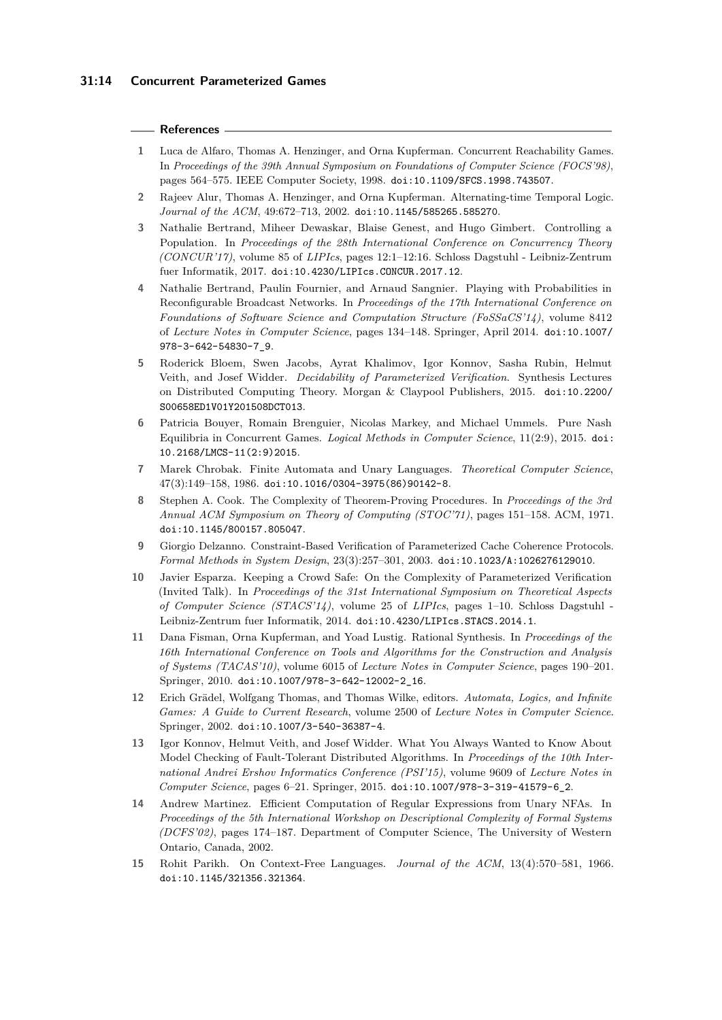#### **References**

- <span id="page-13-4"></span>**1** Luca de Alfaro, Thomas A. Henzinger, and Orna Kupferman. Concurrent Reachability Games. In *Proceedings of the 39th Annual Symposium on Foundations of Computer Science (FOCS'98)*, pages 564–575. IEEE Computer Society, 1998. [doi:10.1109/SFCS.1998.743507](https://doi.org/10.1109/SFCS.1998.743507).
- <span id="page-13-5"></span>**2** Rajeev Alur, Thomas A. Henzinger, and Orna Kupferman. Alternating-time Temporal Logic. *Journal of the ACM*, 49:672–713, 2002. [doi:10.1145/585265.585270](https://doi.org/10.1145/585265.585270).
- <span id="page-13-9"></span>**3** Nathalie Bertrand, Miheer Dewaskar, Blaise Genest, and Hugo Gimbert. Controlling a Population. In *Proceedings of the 28th International Conference on Concurrency Theory (CONCUR'17)*, volume 85 of *LIPIcs*, pages 12:1–12:16. Schloss Dagstuhl - Leibniz-Zentrum fuer Informatik, 2017. [doi:10.4230/LIPIcs.CONCUR.2017.12](https://doi.org/10.4230/LIPIcs.CONCUR.2017.12).
- <span id="page-13-8"></span>**4** Nathalie Bertrand, Paulin Fournier, and Arnaud Sangnier. Playing with Probabilities in Reconfigurable Broadcast Networks. In *Proceedings of the 17th International Conference on Foundations of Software Science and Computation Structure (FoSSaCS'14)*, volume 8412 of *Lecture Notes in Computer Science*, pages 134–148. Springer, April 2014. [doi:10.1007/](https://doi.org/10.1007/978-3-642-54830-7_9) [978-3-642-54830-7\\_9](https://doi.org/10.1007/978-3-642-54830-7_9).
- <span id="page-13-1"></span>**5** Roderick Bloem, Swen Jacobs, Ayrat Khalimov, Igor Konnov, Sasha Rubin, Helmut Veith, and Josef Widder. *Decidability of Parameterized Verification*. Synthesis Lectures on Distributed Computing Theory. Morgan & Claypool Publishers, 2015. [doi:10.2200/](https://doi.org/10.2200/S00658ED1V01Y201508DCT013) [S00658ED1V01Y201508DCT013](https://doi.org/10.2200/S00658ED1V01Y201508DCT013).
- <span id="page-13-7"></span>**6** Patricia Bouyer, Romain Brenguier, Nicolas Markey, and Michael Ummels. Pure Nash Equilibria in Concurrent Games. *Logical Methods in Computer Science*, 11(2:9), 2015. [doi:](https://doi.org/10.2168/LMCS-11(2:9)2015) [10.2168/LMCS-11\(2:9\)2015](https://doi.org/10.2168/LMCS-11(2:9)2015).
- <span id="page-13-13"></span>**7** Marek Chrobak. Finite Automata and Unary Languages. *Theoretical Computer Science*, 47(3):149–158, 1986. [doi:10.1016/0304-3975\(86\)90142-8](https://doi.org/10.1016/0304-3975(86)90142-8).
- <span id="page-13-11"></span>**8** Stephen A. Cook. The Complexity of Theorem-Proving Procedures. In *Proceedings of the 3rd Annual ACM Symposium on Theory of Computing (STOC'71)*, pages 151–158. ACM, 1971. [doi:10.1145/800157.805047](https://doi.org/10.1145/800157.805047).
- <span id="page-13-2"></span>**9** Giorgio Delzanno. Constraint-Based Verification of Parameterized Cache Coherence Protocols. *Formal Methods in System Design*, 23(3):257–301, 2003. [doi:10.1023/A:1026276129010](https://doi.org/10.1023/A:1026276129010).
- <span id="page-13-0"></span>**10** Javier Esparza. Keeping a Crowd Safe: On the Complexity of Parameterized Verification (Invited Talk). In *Proceedings of the 31st International Symposium on Theoretical Aspects of Computer Science (STACS'14)*, volume 25 of *LIPIcs*, pages 1–10. Schloss Dagstuhl - Leibniz-Zentrum fuer Informatik, 2014. [doi:10.4230/LIPIcs.STACS.2014.1](https://doi.org/10.4230/LIPIcs.STACS.2014.1).
- <span id="page-13-6"></span>**11** Dana Fisman, Orna Kupferman, and Yoad Lustig. Rational Synthesis. In *Proceedings of the 16th International Conference on Tools and Algorithms for the Construction and Analysis of Systems (TACAS'10)*, volume 6015 of *Lecture Notes in Computer Science*, pages 190–201. Springer, 2010. [doi:10.1007/978-3-642-12002-2\\_16](https://doi.org/10.1007/978-3-642-12002-2_16).
- <span id="page-13-10"></span>**12** Erich Grädel, Wolfgang Thomas, and Thomas Wilke, editors. *Automata, Logics, and Infinite Games: A Guide to Current Research*, volume 2500 of *Lecture Notes in Computer Science*. Springer, 2002. [doi:10.1007/3-540-36387-4](https://doi.org/10.1007/3-540-36387-4).
- <span id="page-13-3"></span>**13** Igor Konnov, Helmut Veith, and Josef Widder. What You Always Wanted to Know About Model Checking of Fault-Tolerant Distributed Algorithms. In *Proceedings of the 10th International Andrei Ershov Informatics Conference (PSI'15)*, volume 9609 of *Lecture Notes in Computer Science*, pages 6–21. Springer, 2015. [doi:10.1007/978-3-319-41579-6\\_2](https://doi.org/10.1007/978-3-319-41579-6_2).
- <span id="page-13-14"></span>**14** Andrew Martinez. Efficient Computation of Regular Expressions from Unary NFAs. In *Proceedings of the 5th International Workshop on Descriptional Complexity of Formal Systems (DCFS'02)*, pages 174–187. Department of Computer Science, The University of Western Ontario, Canada, 2002.
- <span id="page-13-12"></span>**15** Rohit Parikh. On Context-Free Languages. *Journal of the ACM*, 13(4):570–581, 1966. [doi:10.1145/321356.321364](https://doi.org/10.1145/321356.321364).